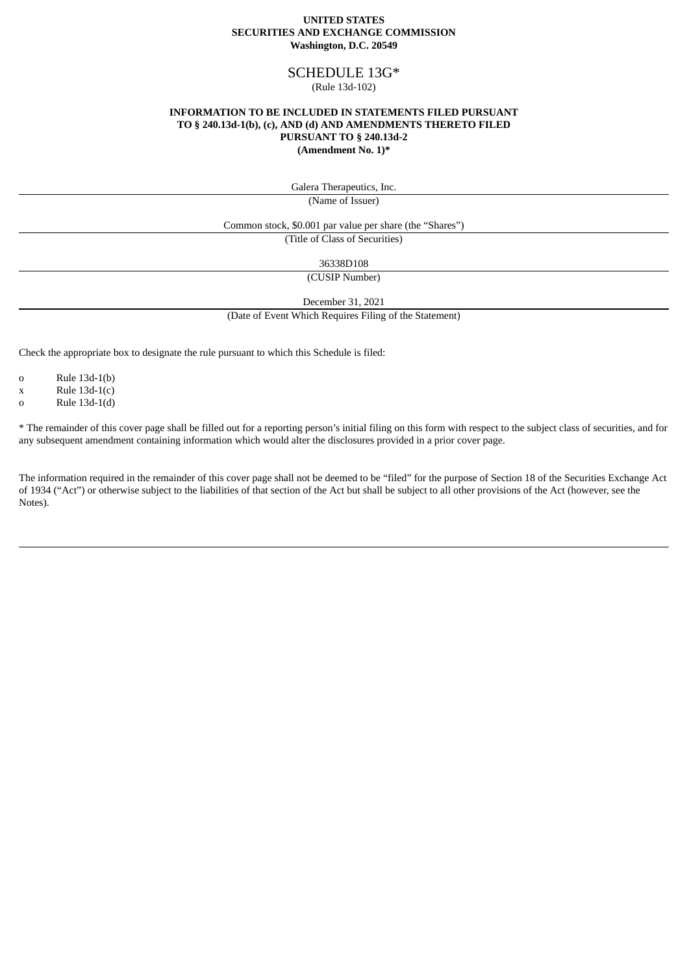#### **UNITED STATES SECURITIES AND EXCHANGE COMMISSION Washington, D.C. 20549**

# SCHEDULE 13G\*

#### (Rule 13d-102)

#### **INFORMATION TO BE INCLUDED IN STATEMENTS FILED PURSUANT TO § 240.13d-1(b), (c), AND (d) AND AMENDMENTS THERETO FILED PURSUANT TO § 240.13d-2 (Amendment No. 1)\***

Galera Therapeutics, Inc.

(Name of Issuer)

Common stock, \$0.001 par value per share (the "Shares")

(Title of Class of Securities)

36338D108

(CUSIP Number)

December 31, 2021

(Date of Event Which Requires Filing of the Statement)

Check the appropriate box to designate the rule pursuant to which this Schedule is filed:

o Rule 13d-1(b)

 $x$  Rule 13d-1(c)

o Rule 13d-1(d)

\* The remainder of this cover page shall be filled out for a reporting person's initial filing on this form with respect to the subject class of securities, and for any subsequent amendment containing information which would alter the disclosures provided in a prior cover page.

The information required in the remainder of this cover page shall not be deemed to be "filed" for the purpose of Section 18 of the Securities Exchange Act of 1934 ("Act") or otherwise subject to the liabilities of that section of the Act but shall be subject to all other provisions of the Act (however, see the Notes).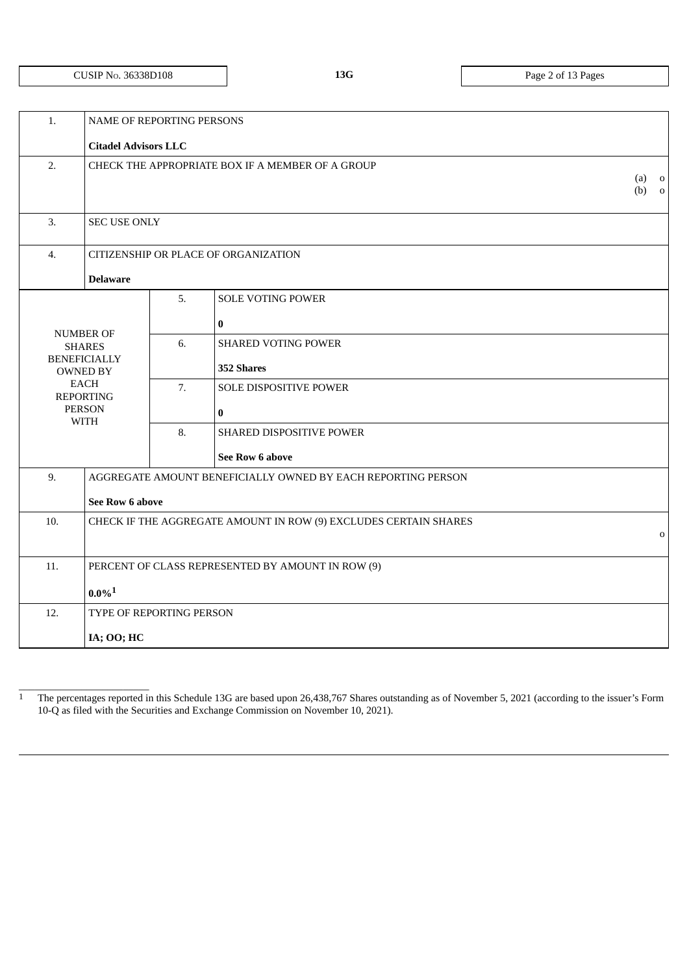# CUSIP NO. 36338D108 **13G** Page 2 of 13 Pages

 $\_$ 

|                          |                                                        |                                                                       | $(a)$ 0<br>$(b)$ 0                                                                                                                                                                                                                                                                                                                                |
|--------------------------|--------------------------------------------------------|-----------------------------------------------------------------------|---------------------------------------------------------------------------------------------------------------------------------------------------------------------------------------------------------------------------------------------------------------------------------------------------------------------------------------------------|
|                          |                                                        |                                                                       |                                                                                                                                                                                                                                                                                                                                                   |
|                          |                                                        |                                                                       |                                                                                                                                                                                                                                                                                                                                                   |
| <b>Delaware</b>          |                                                        |                                                                       |                                                                                                                                                                                                                                                                                                                                                   |
|                          | 5.                                                     | <b>SOLE VOTING POWER</b>                                              |                                                                                                                                                                                                                                                                                                                                                   |
|                          |                                                        | $\bf{0}$                                                              |                                                                                                                                                                                                                                                                                                                                                   |
| <b>SHARES</b>            | 6.                                                     | <b>SHARED VOTING POWER</b>                                            |                                                                                                                                                                                                                                                                                                                                                   |
| <b>OWNED BY</b>          |                                                        | 352 Shares                                                            |                                                                                                                                                                                                                                                                                                                                                   |
| EACH<br><b>REPORTING</b> | 7.                                                     | SOLE DISPOSITIVE POWER                                                |                                                                                                                                                                                                                                                                                                                                                   |
| <b>PERSON</b>            |                                                        | $\bf{0}$                                                              |                                                                                                                                                                                                                                                                                                                                                   |
|                          | 8.                                                     | SHARED DISPOSITIVE POWER                                              |                                                                                                                                                                                                                                                                                                                                                   |
|                          |                                                        | See Row 6 above                                                       |                                                                                                                                                                                                                                                                                                                                                   |
|                          |                                                        |                                                                       |                                                                                                                                                                                                                                                                                                                                                   |
|                          |                                                        |                                                                       |                                                                                                                                                                                                                                                                                                                                                   |
|                          |                                                        |                                                                       | $\mathbf 0$                                                                                                                                                                                                                                                                                                                                       |
|                          |                                                        |                                                                       |                                                                                                                                                                                                                                                                                                                                                   |
|                          |                                                        |                                                                       |                                                                                                                                                                                                                                                                                                                                                   |
| $0.0\%$ <sup>1</sup>     |                                                        |                                                                       |                                                                                                                                                                                                                                                                                                                                                   |
|                          |                                                        |                                                                       |                                                                                                                                                                                                                                                                                                                                                   |
| IA; OO; HC               |                                                        |                                                                       |                                                                                                                                                                                                                                                                                                                                                   |
|                          | <b>NUMBER OF</b><br><b>BENEFICIALLY</b><br><b>WITH</b> | <b>Citadel Advisors LLC</b><br><b>SEC USE ONLY</b><br>See Row 6 above | <b>NAME OF REPORTING PERSONS</b><br>CHECK THE APPROPRIATE BOX IF A MEMBER OF A GROUP<br>CITIZENSHIP OR PLACE OF ORGANIZATION<br>AGGREGATE AMOUNT BENEFICIALLY OWNED BY EACH REPORTING PERSON<br>CHECK IF THE AGGREGATE AMOUNT IN ROW (9) EXCLUDES CERTAIN SHARES<br>PERCENT OF CLASS REPRESENTED BY AMOUNT IN ROW (9)<br>TYPE OF REPORTING PERSON |

<sup>&</sup>lt;sup>1</sup> The percentages reported in this Schedule 13G are based upon 26,438,767 Shares outstanding as of November 5, 2021 (according to the issuer's Form 10-Q as filed with the Securities and Exchange Commission on November 10, 2021).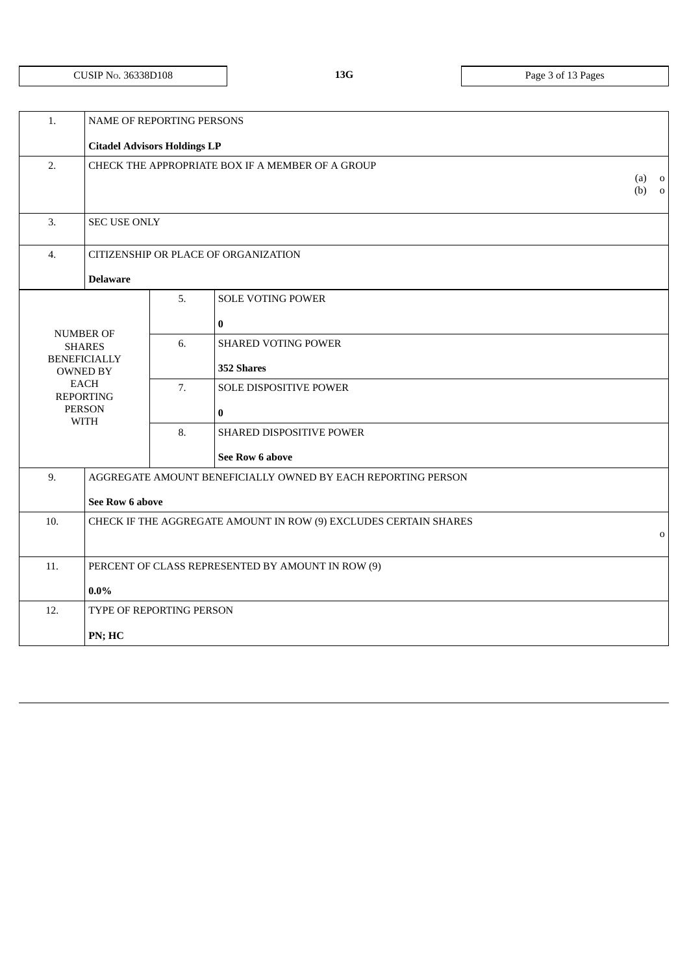|                                 |                                                        |                                        | $(a)$ 0<br>$(b)$ 0                                                                                                                                                                                                                                                                                                                                                                |
|---------------------------------|--------------------------------------------------------|----------------------------------------|-----------------------------------------------------------------------------------------------------------------------------------------------------------------------------------------------------------------------------------------------------------------------------------------------------------------------------------------------------------------------------------|
|                                 |                                                        |                                        |                                                                                                                                                                                                                                                                                                                                                                                   |
|                                 |                                                        |                                        |                                                                                                                                                                                                                                                                                                                                                                                   |
| <b>Delaware</b>                 |                                                        |                                        |                                                                                                                                                                                                                                                                                                                                                                                   |
|                                 | 5.                                                     | <b>SOLE VOTING POWER</b>               |                                                                                                                                                                                                                                                                                                                                                                                   |
|                                 |                                                        | $\bf{0}$                               |                                                                                                                                                                                                                                                                                                                                                                                   |
| <b>SHARES</b>                   | 6.                                                     | <b>SHARED VOTING POWER</b>             |                                                                                                                                                                                                                                                                                                                                                                                   |
| <b>OWNED BY</b>                 |                                                        | 352 Shares                             |                                                                                                                                                                                                                                                                                                                                                                                   |
| <b>EACH</b><br><b>REPORTING</b> | 7.                                                     | SOLE DISPOSITIVE POWER                 |                                                                                                                                                                                                                                                                                                                                                                                   |
| <b>PERSON</b>                   |                                                        | $\bf{0}$                               |                                                                                                                                                                                                                                                                                                                                                                                   |
|                                 | 8.                                                     | SHARED DISPOSITIVE POWER               |                                                                                                                                                                                                                                                                                                                                                                                   |
|                                 |                                                        | See Row 6 above                        |                                                                                                                                                                                                                                                                                                                                                                                   |
|                                 |                                                        |                                        |                                                                                                                                                                                                                                                                                                                                                                                   |
|                                 |                                                        |                                        |                                                                                                                                                                                                                                                                                                                                                                                   |
|                                 |                                                        |                                        | $\mathbf 0$                                                                                                                                                                                                                                                                                                                                                                       |
|                                 |                                                        |                                        |                                                                                                                                                                                                                                                                                                                                                                                   |
| $0.0\%$                         |                                                        |                                        |                                                                                                                                                                                                                                                                                                                                                                                   |
|                                 |                                                        |                                        |                                                                                                                                                                                                                                                                                                                                                                                   |
| PN; HC                          |                                                        |                                        |                                                                                                                                                                                                                                                                                                                                                                                   |
|                                 | <b>NUMBER OF</b><br><b>BENEFICIALLY</b><br><b>WITH</b> | <b>SEC USE ONLY</b><br>See Row 6 above | NAME OF REPORTING PERSONS<br><b>Citadel Advisors Holdings LP</b><br>CHECK THE APPROPRIATE BOX IF A MEMBER OF A GROUP<br>CITIZENSHIP OR PLACE OF ORGANIZATION<br>AGGREGATE AMOUNT BENEFICIALLY OWNED BY EACH REPORTING PERSON<br>CHECK IF THE AGGREGATE AMOUNT IN ROW (9) EXCLUDES CERTAIN SHARES<br>PERCENT OF CLASS REPRESENTED BY AMOUNT IN ROW (9)<br>TYPE OF REPORTING PERSON |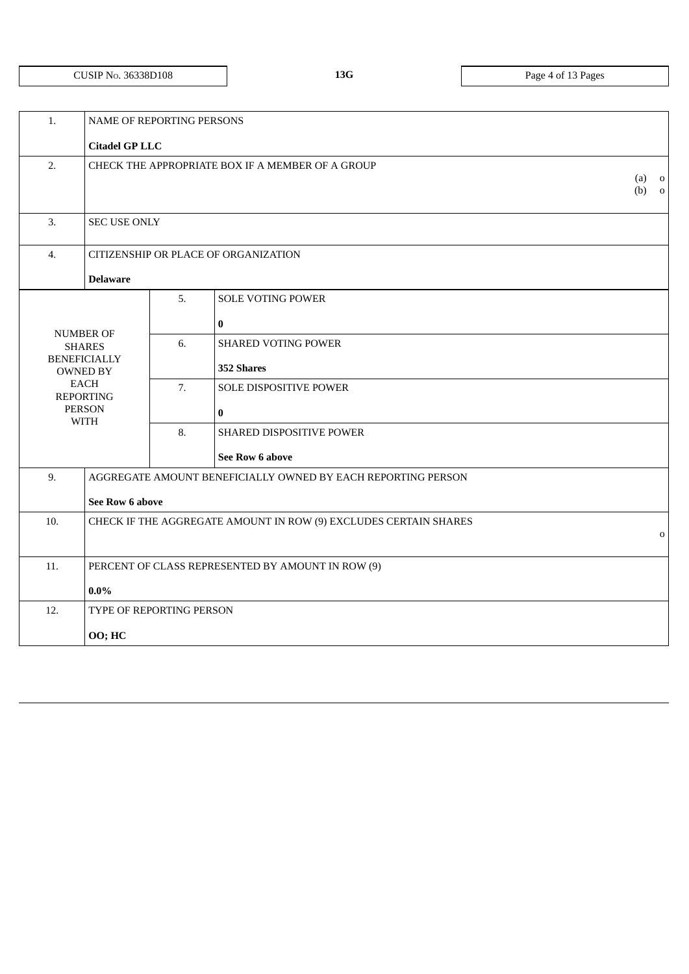# CUSIP NO. 36338D108 **13G** Page 4 of 13 Pages

| 1.  | NAME OF REPORTING PERSONS                                                   |    |                                                                  |                    |
|-----|-----------------------------------------------------------------------------|----|------------------------------------------------------------------|--------------------|
|     | <b>Citadel GP LLC</b>                                                       |    |                                                                  |                    |
| 2.  |                                                                             |    | CHECK THE APPROPRIATE BOX IF A MEMBER OF A GROUP                 | $(a)$ 0<br>$(b)$ 0 |
| 3.  | <b>SEC USE ONLY</b>                                                         |    |                                                                  |                    |
| 4.  |                                                                             |    | CITIZENSHIP OR PLACE OF ORGANIZATION                             |                    |
|     | <b>Delaware</b>                                                             |    |                                                                  |                    |
|     |                                                                             | 5. | <b>SOLE VOTING POWER</b><br>$\bf{0}$                             |                    |
|     | <b>NUMBER OF</b><br><b>SHARES</b><br><b>BENEFICIALLY</b><br><b>OWNED BY</b> | 6. | <b>SHARED VOTING POWER</b><br>352 Shares                         |                    |
|     | EACH<br><b>REPORTING</b><br><b>PERSON</b>                                   | 7. | SOLE DISPOSITIVE POWER<br>$\pmb{0}$                              |                    |
|     | <b>WITH</b>                                                                 | 8. | SHARED DISPOSITIVE POWER                                         |                    |
|     |                                                                             |    | See Row 6 above                                                  |                    |
| 9.  | See Row 6 above                                                             |    | AGGREGATE AMOUNT BENEFICIALLY OWNED BY EACH REPORTING PERSON     |                    |
| 10. |                                                                             |    | CHECK IF THE AGGREGATE AMOUNT IN ROW (9) EXCLUDES CERTAIN SHARES | $\mathbf 0$        |
| 11. |                                                                             |    | PERCENT OF CLASS REPRESENTED BY AMOUNT IN ROW (9)                |                    |
|     | $0.0\%$                                                                     |    |                                                                  |                    |
| 12. | TYPE OF REPORTING PERSON                                                    |    |                                                                  |                    |
|     | 00; HC                                                                      |    |                                                                  |                    |
|     |                                                                             |    |                                                                  |                    |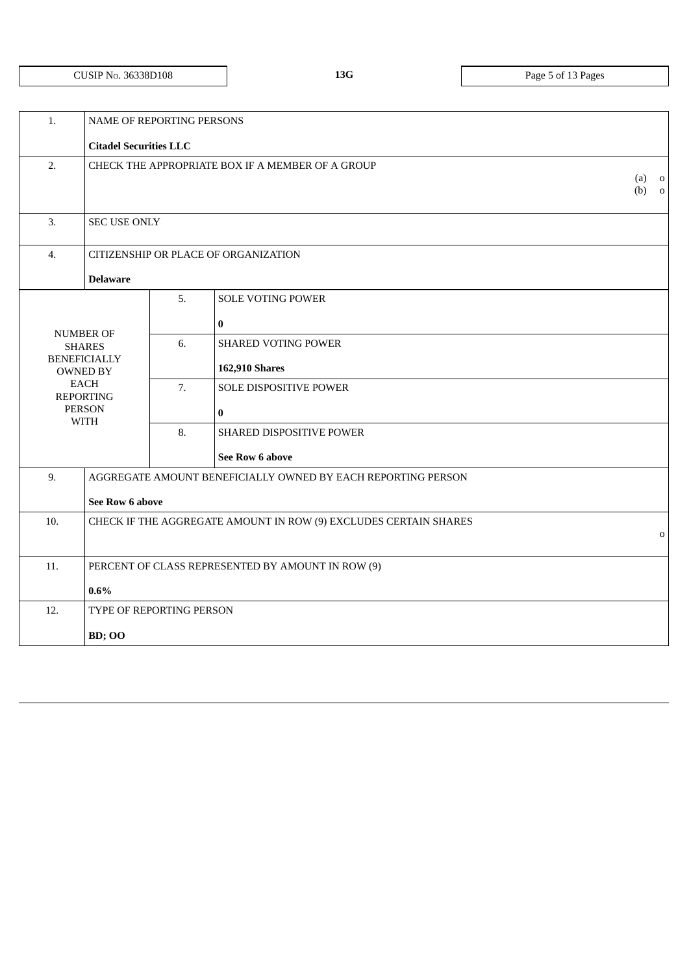# CUSIP NO. 36338D108 **13G** Page 5 of 13 Pages

| 1.  | NAME OF REPORTING PERSONS                                                   |    |                                                                  |                    |
|-----|-----------------------------------------------------------------------------|----|------------------------------------------------------------------|--------------------|
|     | <b>Citadel Securities LLC</b>                                               |    |                                                                  |                    |
| 2.  |                                                                             |    | CHECK THE APPROPRIATE BOX IF A MEMBER OF A GROUP                 | $(a)$ 0<br>$(b)$ 0 |
| 3.  | <b>SEC USE ONLY</b>                                                         |    |                                                                  |                    |
| 4.  |                                                                             |    | CITIZENSHIP OR PLACE OF ORGANIZATION                             |                    |
|     | <b>Delaware</b>                                                             |    |                                                                  |                    |
|     |                                                                             | 5. | <b>SOLE VOTING POWER</b><br>$\bf{0}$                             |                    |
|     | <b>NUMBER OF</b><br><b>SHARES</b><br><b>BENEFICIALLY</b><br><b>OWNED BY</b> | 6. | <b>SHARED VOTING POWER</b><br>162,910 Shares                     |                    |
|     | <b>EACH</b><br><b>REPORTING</b><br><b>PERSON</b>                            | 7. | SOLE DISPOSITIVE POWER<br>$\bf{0}$                               |                    |
|     | <b>WITH</b>                                                                 | 8. | SHARED DISPOSITIVE POWER                                         |                    |
|     |                                                                             |    | <b>See Row 6 above</b>                                           |                    |
| 9.  | See Row 6 above                                                             |    | AGGREGATE AMOUNT BENEFICIALLY OWNED BY EACH REPORTING PERSON     |                    |
| 10. |                                                                             |    | CHECK IF THE AGGREGATE AMOUNT IN ROW (9) EXCLUDES CERTAIN SHARES | $\mathbf 0$        |
| 11. |                                                                             |    | PERCENT OF CLASS REPRESENTED BY AMOUNT IN ROW (9)                |                    |
|     | $0.6\%$                                                                     |    |                                                                  |                    |
| 12. | TYPE OF REPORTING PERSON                                                    |    |                                                                  |                    |
|     | <b>BD</b> ; OO                                                              |    |                                                                  |                    |
|     |                                                                             |    |                                                                  |                    |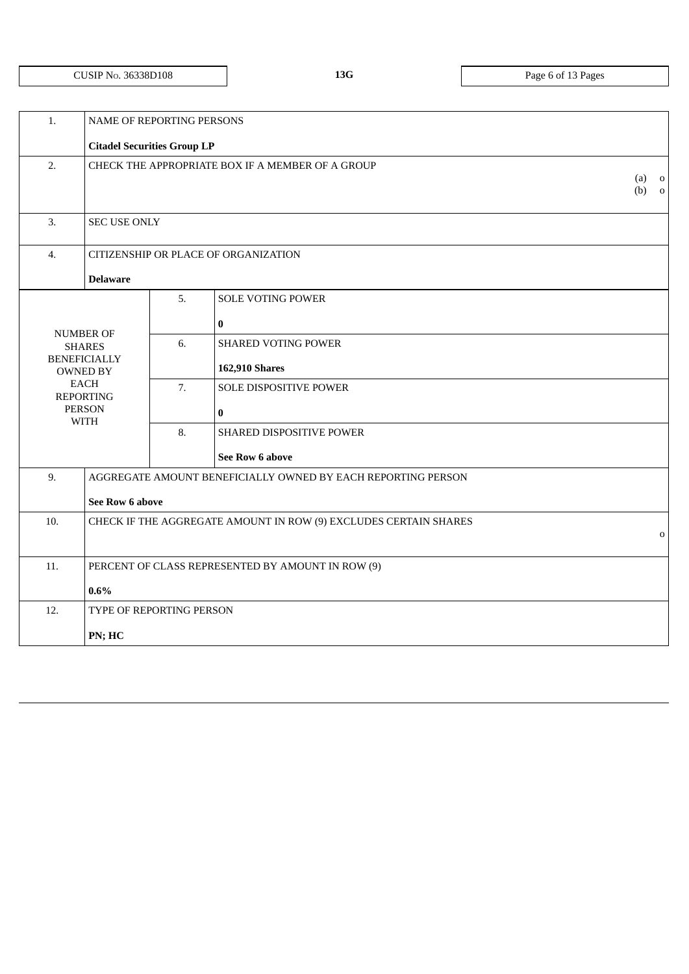# CUSIP NO. 36338D108 **13G** Page 6 of 13 Pages

| 1.  | NAME OF REPORTING PERSONS              |    |                                                                  |                                           |
|-----|----------------------------------------|----|------------------------------------------------------------------|-------------------------------------------|
|     | <b>Citadel Securities Group LP</b>     |    |                                                                  |                                           |
| 2.  |                                        |    | CHECK THE APPROPRIATE BOX IF A MEMBER OF A GROUP                 | (a)<br>$\overline{\mathbf{0}}$<br>$(b)$ 0 |
| 3.  | <b>SEC USE ONLY</b>                    |    |                                                                  |                                           |
| 4.  |                                        |    | CITIZENSHIP OR PLACE OF ORGANIZATION                             |                                           |
|     | <b>Delaware</b>                        |    |                                                                  |                                           |
|     |                                        | 5. | <b>SOLE VOTING POWER</b>                                         |                                           |
|     |                                        |    | $\bf{0}$                                                         |                                           |
|     | <b>NUMBER OF</b><br><b>SHARES</b>      | 6. | <b>SHARED VOTING POWER</b>                                       |                                           |
|     | <b>BENEFICIALLY</b><br><b>OWNED BY</b> |    | <b>162,910 Shares</b>                                            |                                           |
|     | <b>EACH</b><br><b>REPORTING</b>        | 7. | <b>SOLE DISPOSITIVE POWER</b>                                    |                                           |
|     | <b>PERSON</b><br><b>WITH</b>           |    | $\bf{0}$                                                         |                                           |
|     |                                        | 8. | SHARED DISPOSITIVE POWER                                         |                                           |
|     |                                        |    | See Row 6 above                                                  |                                           |
| 9.  |                                        |    | AGGREGATE AMOUNT BENEFICIALLY OWNED BY EACH REPORTING PERSON     |                                           |
|     | See Row 6 above                        |    |                                                                  |                                           |
| 10. |                                        |    | CHECK IF THE AGGREGATE AMOUNT IN ROW (9) EXCLUDES CERTAIN SHARES | $\mathbf 0$                               |
|     |                                        |    |                                                                  |                                           |
| 11. |                                        |    | PERCENT OF CLASS REPRESENTED BY AMOUNT IN ROW (9)                |                                           |
|     | $0.6\%$                                |    |                                                                  |                                           |
| 12. | TYPE OF REPORTING PERSON               |    |                                                                  |                                           |
|     | PN; HC                                 |    |                                                                  |                                           |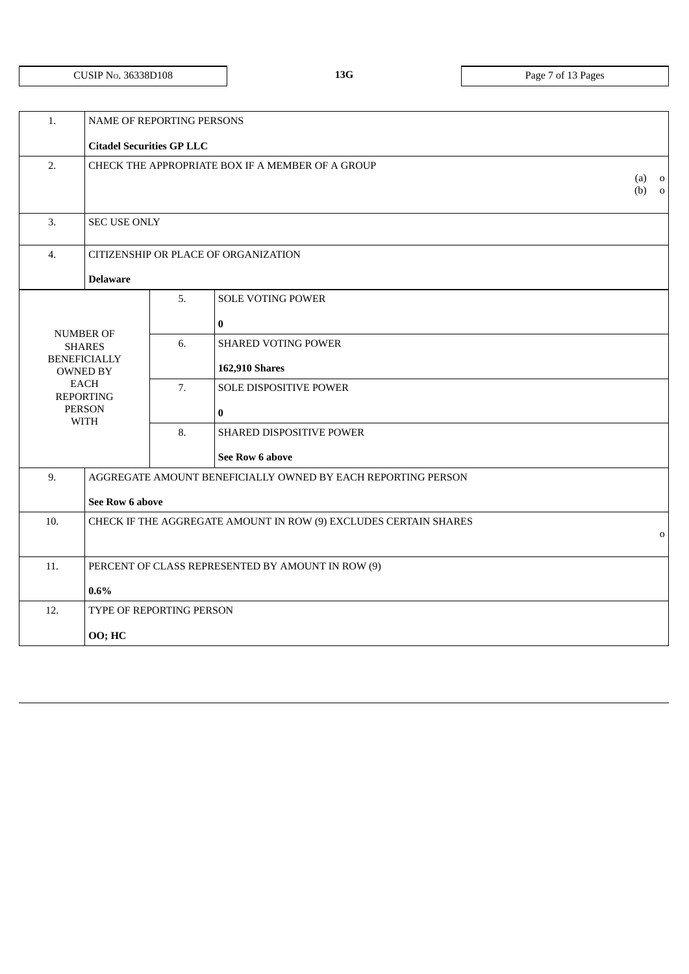# CUSIP NO. 36338D108 **13G** Page 7 of 13 Pages

| 1.  | NAME OF REPORTING PERSONS              |    |                                                                  |                    |
|-----|----------------------------------------|----|------------------------------------------------------------------|--------------------|
|     | <b>Citadel Securities GP LLC</b>       |    |                                                                  |                    |
| 2.  |                                        |    | CHECK THE APPROPRIATE BOX IF A MEMBER OF A GROUP                 | $(a)$ o<br>$(b)$ 0 |
| 3.  | <b>SEC USE ONLY</b>                    |    |                                                                  |                    |
| 4.  |                                        |    | CITIZENSHIP OR PLACE OF ORGANIZATION                             |                    |
|     | <b>Delaware</b>                        |    |                                                                  |                    |
|     |                                        | 5. | <b>SOLE VOTING POWER</b>                                         |                    |
|     | <b>NUMBER OF</b>                       |    | $\bf{0}$                                                         |                    |
|     | <b>SHARES</b>                          | 6. | <b>SHARED VOTING POWER</b>                                       |                    |
|     | <b>BENEFICIALLY</b><br><b>OWNED BY</b> |    | 162,910 Shares                                                   |                    |
|     | EACH<br><b>REPORTING</b>               | 7. | <b>SOLE DISPOSITIVE POWER</b>                                    |                    |
|     | <b>PERSON</b><br><b>WITH</b>           |    | $\bf{0}$                                                         |                    |
|     |                                        | 8. | SHARED DISPOSITIVE POWER                                         |                    |
|     |                                        |    | See Row 6 above                                                  |                    |
| 9.  |                                        |    | AGGREGATE AMOUNT BENEFICIALLY OWNED BY EACH REPORTING PERSON     |                    |
|     | See Row 6 above                        |    |                                                                  |                    |
| 10. |                                        |    | CHECK IF THE AGGREGATE AMOUNT IN ROW (9) EXCLUDES CERTAIN SHARES |                    |
|     |                                        |    |                                                                  | $\mathbf 0$        |
| 11. |                                        |    | PERCENT OF CLASS REPRESENTED BY AMOUNT IN ROW (9)                |                    |
|     | $0.6\%$                                |    |                                                                  |                    |
| 12. | TYPE OF REPORTING PERSON               |    |                                                                  |                    |
|     | 00; HC                                 |    |                                                                  |                    |
|     |                                        |    |                                                                  |                    |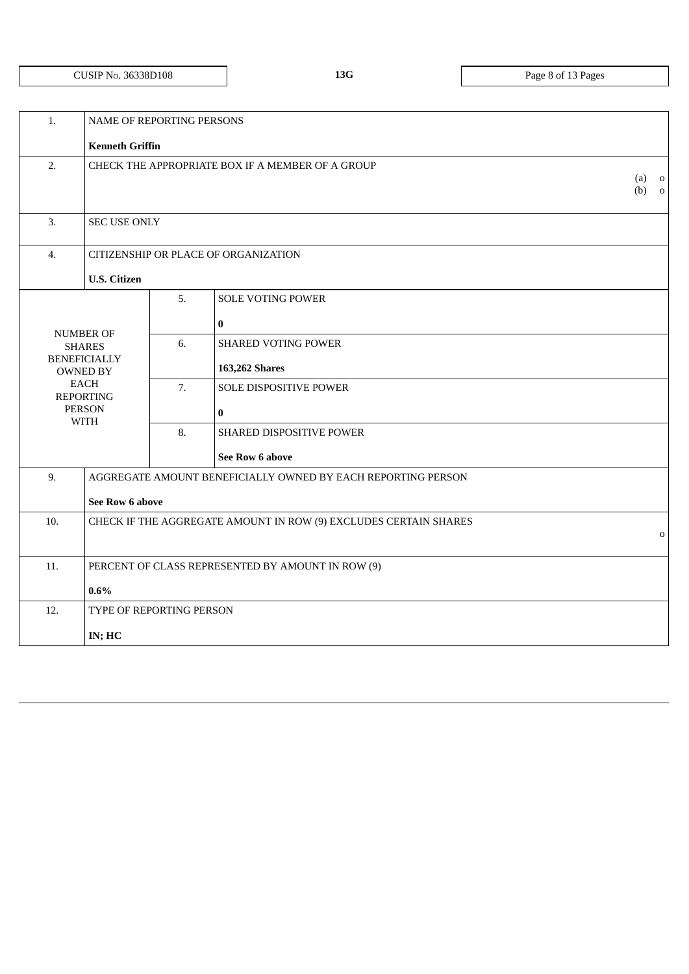# CUSIP NO. 36338D108 **13G** Page 8 of 13 Pages

| 1.  | NAME OF REPORTING PERSONS                                                   |    |                                                                  |                    |
|-----|-----------------------------------------------------------------------------|----|------------------------------------------------------------------|--------------------|
|     | <b>Kenneth Griffin</b>                                                      |    |                                                                  |                    |
| 2.  |                                                                             |    | CHECK THE APPROPRIATE BOX IF A MEMBER OF A GROUP                 | $(a)$ 0<br>$(b)$ 0 |
| 3.  | <b>SEC USE ONLY</b>                                                         |    |                                                                  |                    |
| 4.  |                                                                             |    | CITIZENSHIP OR PLACE OF ORGANIZATION                             |                    |
|     | <b>U.S. Citizen</b>                                                         |    |                                                                  |                    |
|     |                                                                             | 5. | <b>SOLE VOTING POWER</b><br>$\bf{0}$                             |                    |
|     | <b>NUMBER OF</b><br><b>SHARES</b><br><b>BENEFICIALLY</b><br><b>OWNED BY</b> | 6. | <b>SHARED VOTING POWER</b><br>163,262 Shares                     |                    |
|     | <b>EACH</b><br><b>REPORTING</b><br><b>PERSON</b><br><b>WITH</b>             | 7. | SOLE DISPOSITIVE POWER<br>$\bf{0}$                               |                    |
|     |                                                                             | 8. | SHARED DISPOSITIVE POWER                                         |                    |
|     |                                                                             |    | See Row 6 above                                                  |                    |
| 9.  | See Row 6 above                                                             |    | AGGREGATE AMOUNT BENEFICIALLY OWNED BY EACH REPORTING PERSON     |                    |
| 10. |                                                                             |    | CHECK IF THE AGGREGATE AMOUNT IN ROW (9) EXCLUDES CERTAIN SHARES | $\mathbf{o}$       |
| 11. |                                                                             |    | PERCENT OF CLASS REPRESENTED BY AMOUNT IN ROW (9)                |                    |
|     | $0.6\%$                                                                     |    |                                                                  |                    |
| 12. | TYPE OF REPORTING PERSON                                                    |    |                                                                  |                    |
|     | IN; HC                                                                      |    |                                                                  |                    |
|     |                                                                             |    |                                                                  |                    |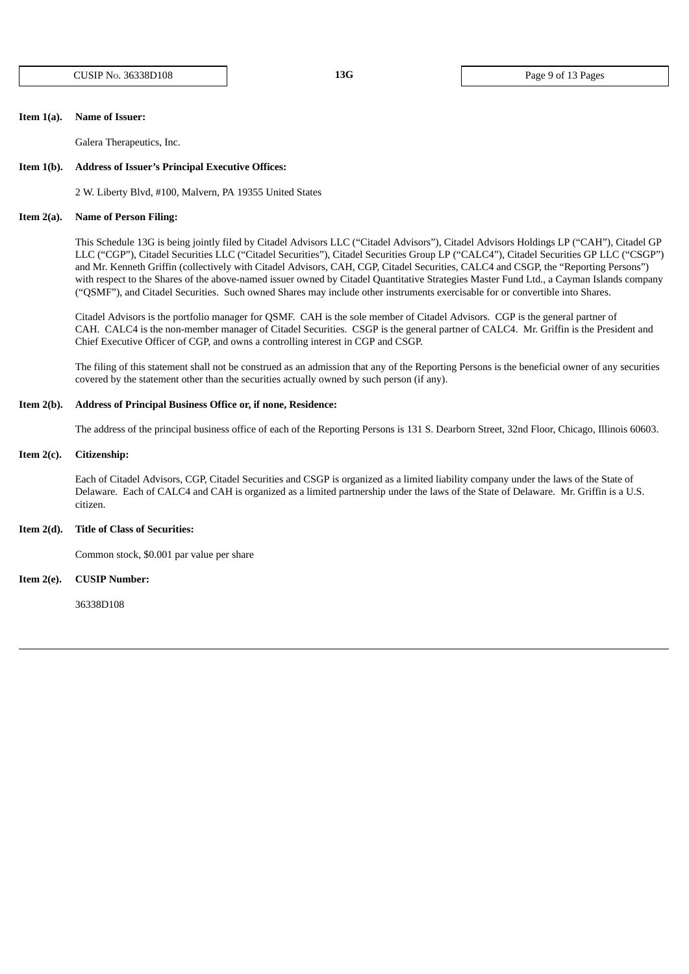CUSIP NO. 36338D108 **13G** Page 9 of 13 Pages

### **Item 1(a). Name of Issuer:**

Galera Therapeutics, Inc.

#### **Item 1(b). Address of Issuer's Principal Executive Offices:**

2 W. Liberty Blvd, #100, Malvern, PA 19355 United States

#### **Item 2(a). Name of Person Filing:**

This Schedule 13G is being jointly filed by Citadel Advisors LLC ("Citadel Advisors"), Citadel Advisors Holdings LP ("CAH"), Citadel GP LLC ("CGP"), Citadel Securities LLC ("Citadel Securities"), Citadel Securities Group LP ("CALC4"), Citadel Securities GP LLC ("CSGP") and Mr. Kenneth Griffin (collectively with Citadel Advisors, CAH, CGP, Citadel Securities, CALC4 and CSGP, the "Reporting Persons") with respect to the Shares of the above-named issuer owned by Citadel Quantitative Strategies Master Fund Ltd., a Cayman Islands company ("QSMF"), and Citadel Securities. Such owned Shares may include other instruments exercisable for or convertible into Shares.

Citadel Advisors is the portfolio manager for QSMF. CAH is the sole member of Citadel Advisors. CGP is the general partner of CAH. CALC4 is the non-member manager of Citadel Securities. CSGP is the general partner of CALC4. Mr. Griffin is the President and Chief Executive Officer of CGP, and owns a controlling interest in CGP and CSGP.

The filing of this statement shall not be construed as an admission that any of the Reporting Persons is the beneficial owner of any securities covered by the statement other than the securities actually owned by such person (if any).

## **Item 2(b). Address of Principal Business Office or, if none, Residence:**

The address of the principal business office of each of the Reporting Persons is 131 S. Dearborn Street, 32nd Floor, Chicago, Illinois 60603.

## **Item 2(c). Citizenship:**

Each of Citadel Advisors, CGP, Citadel Securities and CSGP is organized as a limited liability company under the laws of the State of Delaware. Each of CALC4 and CAH is organized as a limited partnership under the laws of the State of Delaware. Mr. Griffin is a U.S. citizen.

## **Item 2(d). Title of Class of Securities:**

Common stock, \$0.001 par value per share

## **Item 2(e). CUSIP Number:**

36338D108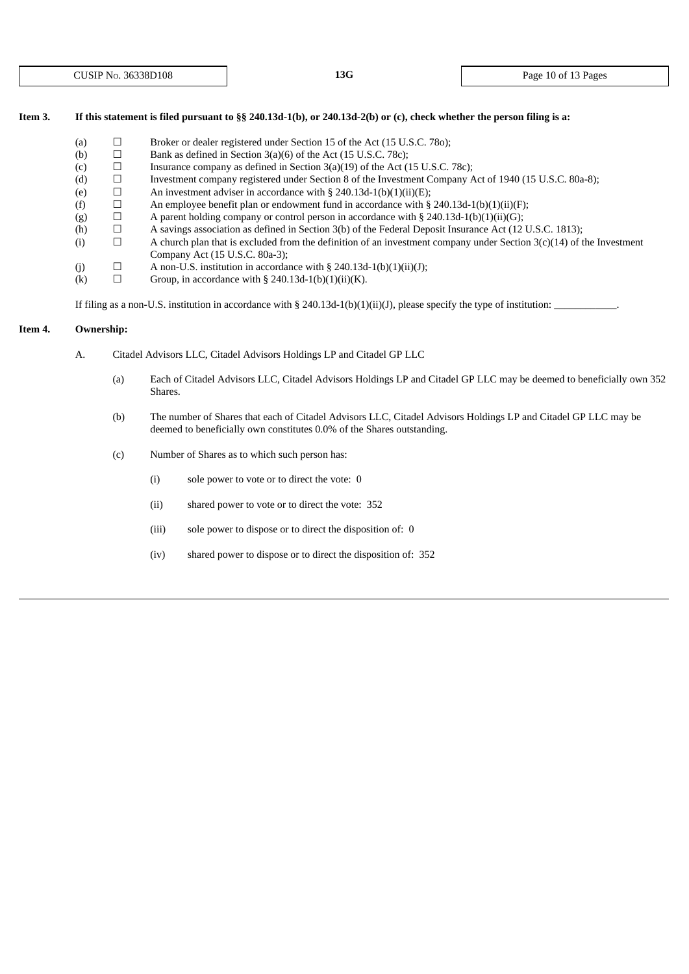## Item 3. If this statement is filed pursuant to §§ 240.13d-1(b), or 240.13d-2(b) or (c), check whether the person filing is a:

- (a)  $\Box$  Broker or dealer registered under Section 15 of the Act (15 U.S.C. 780);
- (b)  $\Box$  Bank as defined in Section 3(a)(6) of the Act (15 U.S.C. 78c);
- (c)  $\Box$  Insurance company as defined in Section 3(a)(19) of the Act (15 U.S.C. 78c);
- (d) ☐ Investment company registered under Section 8 of the Investment Company Act of 1940 (15 U.S.C. 80a-8);
- (e)  $\Box$  An investment adviser in accordance with § 240.13d-1(b)(1)(ii)(E);
- (f)  $\Box$  An employee benefit plan or endowment fund in accordance with § 240.13d-1(b)(1)(ii)(F);
- (g)  $\Box$  A parent holding company or control person in accordance with § 240.13d-1(b)(1)(ii)(G);
- (h)  $\Box$  A savings association as defined in Section 3(b) of the Federal Deposit Insurance Act (12 U.S.C. 1813);<br>(i)  $\Box$  A church plan that is excluded from the definition of an investment company under Section 3(c)(14)
- (i)  $\Box$  A church plan that is excluded from the definition of an investment company under Section 3(c)(14) of the Investment Company Act (15 U.S.C. 80a-3);
- (j)  $\Box$  A non-U.S. institution in accordance with § 240.13d-1(b)(1)(ii)(J);
- (k)  $\Box$  Group, in accordance with § 240.13d-1(b)(1)(ii)(K).

If filing as a non-U.S. institution in accordance with § 240.13d-1(b)(1)(ii)(J), please specify the type of institution:

# **Item 4. Ownership:**

- A. Citadel Advisors LLC, Citadel Advisors Holdings LP and Citadel GP LLC
	- (a) Each of Citadel Advisors LLC, Citadel Advisors Holdings LP and Citadel GP LLC may be deemed to beneficially own 352 Shares.
	- (b) The number of Shares that each of Citadel Advisors LLC, Citadel Advisors Holdings LP and Citadel GP LLC may be deemed to beneficially own constitutes 0.0% of the Shares outstanding.
	- (c) Number of Shares as to which such person has:
		- (i) sole power to vote or to direct the vote: 0
		- (ii) shared power to vote or to direct the vote: 352
		- (iii) sole power to dispose or to direct the disposition of: 0
		- (iv) shared power to dispose or to direct the disposition of: 352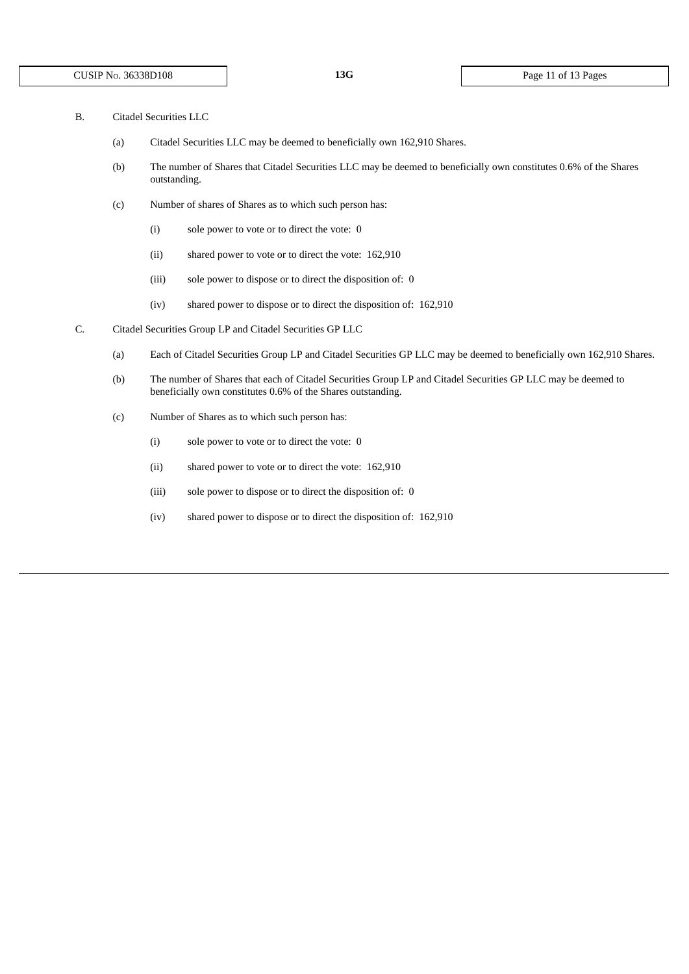- B. Citadel Securities LLC
	- (a) Citadel Securities LLC may be deemed to beneficially own 162,910 Shares.
	- (b) The number of Shares that Citadel Securities LLC may be deemed to beneficially own constitutes 0.6% of the Shares outstanding.
	- (c) Number of shares of Shares as to which such person has:
		- (i) sole power to vote or to direct the vote: 0
		- (ii) shared power to vote or to direct the vote: 162,910
		- (iii) sole power to dispose or to direct the disposition of: 0
		- (iv) shared power to dispose or to direct the disposition of: 162,910
- C. Citadel Securities Group LP and Citadel Securities GP LLC
	- (a) Each of Citadel Securities Group LP and Citadel Securities GP LLC may be deemed to beneficially own 162,910 Shares.
	- (b) The number of Shares that each of Citadel Securities Group LP and Citadel Securities GP LLC may be deemed to beneficially own constitutes 0.6% of the Shares outstanding.
	- (c) Number of Shares as to which such person has:
		- (i) sole power to vote or to direct the vote: 0
		- (ii) shared power to vote or to direct the vote: 162,910
		- (iii) sole power to dispose or to direct the disposition of: 0
		- (iv) shared power to dispose or to direct the disposition of: 162,910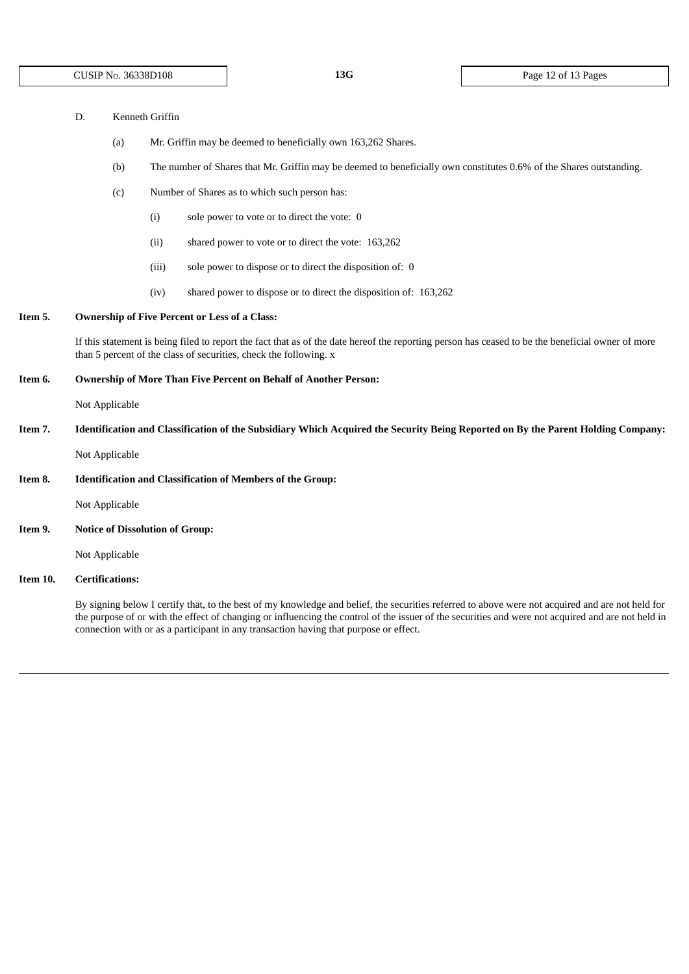| Kenneth Griffin<br>D. |
|-----------------------|
|-----------------------|

- (a) Mr. Griffin may be deemed to beneficially own 163,262 Shares.
- (b) The number of Shares that Mr. Griffin may be deemed to beneficially own constitutes 0.6% of the Shares outstanding.
- (c) Number of Shares as to which such person has:
	- (i) sole power to vote or to direct the vote: 0
	- (ii) shared power to vote or to direct the vote: 163,262
	- (iii) sole power to dispose or to direct the disposition of: 0
	- (iv) shared power to dispose or to direct the disposition of: 163,262

# **Item 5. Ownership of Five Percent or Less of a Class:**

If this statement is being filed to report the fact that as of the date hereof the reporting person has ceased to be the beneficial owner of more than 5 percent of the class of securities, check the following. x

#### **Item 6. Ownership of More Than Five Percent on Behalf of Another Person:**

Not Applicable

Item 7. Identification and Classification of the Subsidiary Which Acquired the Security Being Reported on By the Parent Holding Company:

Not Applicable

**Item 8. Identification and Classification of Members of the Group:**

Not Applicable

**Item 9. Notice of Dissolution of Group:**

Not Applicable

### **Item 10. Certifications:**

By signing below I certify that, to the best of my knowledge and belief, the securities referred to above were not acquired and are not held for the purpose of or with the effect of changing or influencing the control of the issuer of the securities and were not acquired and are not held in connection with or as a participant in any transaction having that purpose or effect.